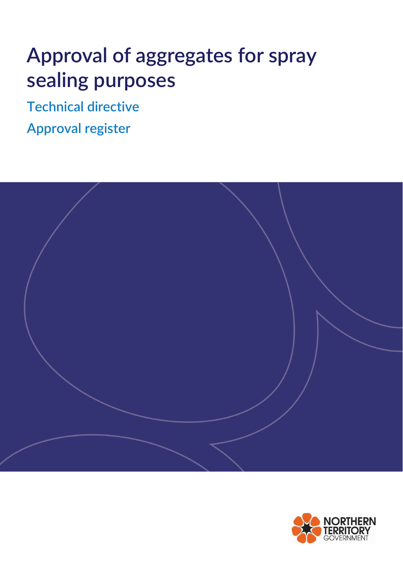# **Approval of aggregates for spray sealing purposes**

**Technical directive**

**Approval register**



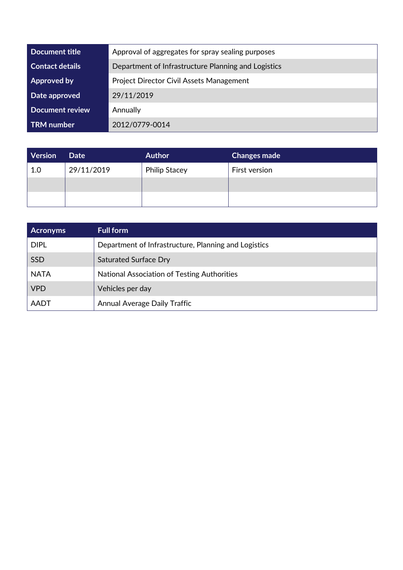| Document title         | Approval of aggregates for spray sealing purposes   |
|------------------------|-----------------------------------------------------|
| <b>Contact details</b> | Department of Infrastructure Planning and Logistics |
| Approved by            | <b>Project Director Civil Assets Management</b>     |
| Date approved          | 29/11/2019                                          |
| <b>Document review</b> | Annually                                            |
| <b>TRM</b> number      | 2012/0779-0014                                      |

| Version | <b>Date</b> | <b>Author</b>        | <b>Changes made</b> |
|---------|-------------|----------------------|---------------------|
| 1.0     | 29/11/2019  | <b>Philip Stacey</b> | First version       |
|         |             |                      |                     |
|         |             |                      |                     |

| <b>Acronyms</b> | <b>Full form</b>                                     |
|-----------------|------------------------------------------------------|
| <b>DIPL</b>     | Department of Infrastructure, Planning and Logistics |
| <b>SSD</b>      | <b>Saturated Surface Dry</b>                         |
| <b>NATA</b>     | National Association of Testing Authorities          |
| <b>VPD</b>      | Vehicles per day                                     |
| <b>AADT</b>     | <b>Annual Average Daily Traffic</b>                  |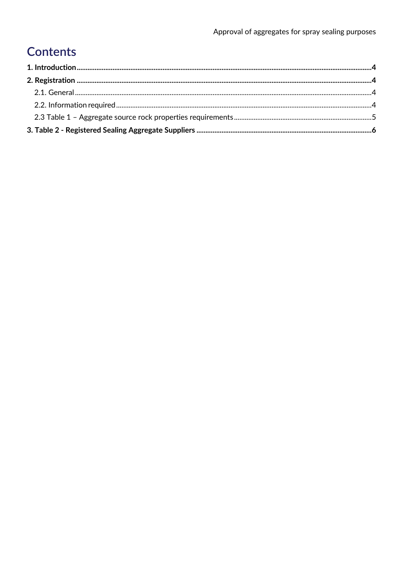## **Contents**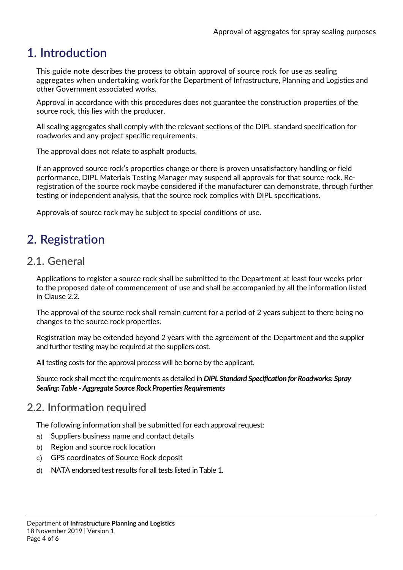### <span id="page-3-0"></span>**1. Introduction**

This guide note describes the process to obtain approval of source rock for use as sealing aggregates when undertaking work for the Department of Infrastructure, Planning and Logistics and other Government associated works.

Approval in accordance with this procedures does not guarantee the construction properties of the source rock, this lies with the producer.

All sealing aggregates shall comply with the relevant sections of the DIPL standard specification for roadworks and any project specific requirements.

The approval does not relate to asphalt products.

If an approved source rock's properties change or there is proven unsatisfactory handling or field performance, DIPL Materials Testing Manager may suspend all approvals for that source rock. Reregistration of the source rock maybe considered if the manufacturer can demonstrate, through further testing or independent analysis, that the source rock complies with DIPL specifications.

Approvals of source rock may be subject to special conditions of use.

## <span id="page-3-1"></span>**2. Registration**

#### <span id="page-3-2"></span>**2.1. General**

Applications to register a source rock shall be submitted to the Department at least four weeks prior to the proposed date of commencement of use and shall be accompanied by all the information listed in Clause 2.2.

The approval of the source rock shall remain current for a period of 2 years subject to there being no changes to the source rock properties.

Registration may be extended beyond 2 years with the agreement of the Department and the supplier and further testing may be required at the suppliers cost.

All testing costs for the approval process will be borne by the applicant.

Source rock shall meet the requirements as detailed in *DIPL Standard Specification for Roadworks: Spray Sealing: Table - Aggregate Source Rock Properties Requirements*

#### <span id="page-3-3"></span>**2.2. Information required**

The following information shall be submitted for each approval request:

- a) Suppliers business name and contact details
- b) Region and source rock location
- c) GPS coordinates of Source Rock deposit
- d) NATA endorsed test results for all tests listed in Table 1.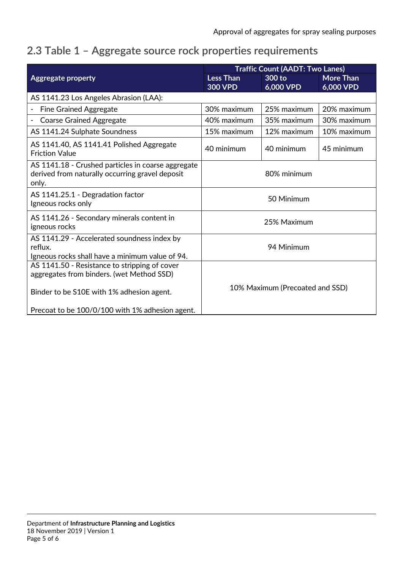## <span id="page-4-0"></span>**2.3 Table 1 – Aggregate source rock properties requirements**

|                                                                                                                | <b>Traffic Count (AADT: Two Lanes)</b> |                     |                               |  |
|----------------------------------------------------------------------------------------------------------------|----------------------------------------|---------------------|-------------------------------|--|
| <b>Aggregate property</b>                                                                                      | <b>Less Than</b><br><b>300 VPD</b>     | 300 to<br>6,000 VPD | <b>More Than</b><br>6,000 VPD |  |
| AS 1141.23 Los Angeles Abrasion (LAA):                                                                         |                                        |                     |                               |  |
| <b>Fine Grained Aggregate</b>                                                                                  | 30% maximum                            | 25% maximum         | 20% maximum                   |  |
| <b>Coarse Grained Aggregate</b>                                                                                | 40% maximum                            | 35% maximum         | 30% maximum                   |  |
| AS 1141.24 Sulphate Soundness                                                                                  | 15% maximum                            | 12% maximum         | 10% maximum                   |  |
| AS 1141.40, AS 1141.41 Polished Aggregate<br><b>Friction Value</b>                                             | 40 minimum                             | 40 minimum          | 45 minimum                    |  |
| AS 1141.18 - Crushed particles in coarse aggregate<br>derived from naturally occurring gravel deposit<br>only. | 80% minimum                            |                     |                               |  |
| AS 1141.25.1 - Degradation factor<br>Igneous rocks only                                                        | 50 Minimum                             |                     |                               |  |
| AS 1141.26 - Secondary minerals content in<br>igneous rocks                                                    | 25% Maximum                            |                     |                               |  |
| AS 1141.29 - Accelerated soundness index by<br>reflux.<br>Igneous rocks shall have a minimum value of 94.      | 94 Minimum                             |                     |                               |  |
| AS 1141.50 - Resistance to stripping of cover<br>aggregates from binders. (wet Method SSD)                     |                                        |                     |                               |  |
| Binder to be S10E with 1% adhesion agent.                                                                      | 10% Maximum (Precoated and SSD)        |                     |                               |  |
| Precoat to be 100/0/100 with 1% adhesion agent.                                                                |                                        |                     |                               |  |